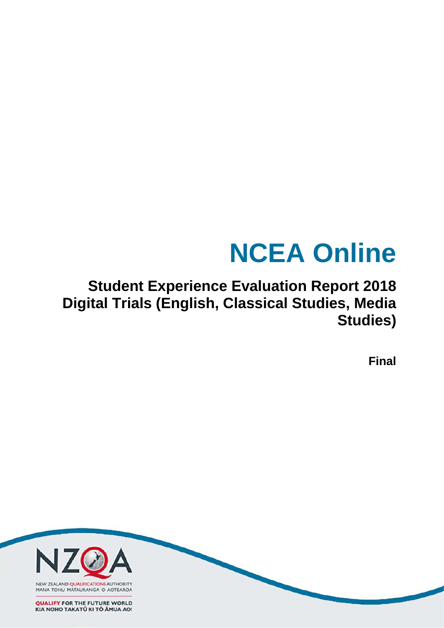# **NCEA Online**

# **Student Experience Evaluation Report 2018 Digital Trials (English, Classical Studies, Media Studies)**

**Final**

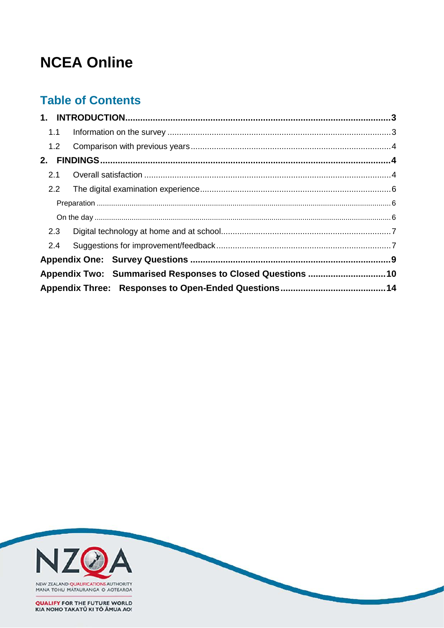# **NCEA Online**

# **Table of Contents**

| 1.1           |                                                           |  |
|---------------|-----------------------------------------------------------|--|
| 1.2           |                                                           |  |
|               |                                                           |  |
| 2.1           |                                                           |  |
| $2.2^{\circ}$ |                                                           |  |
|               |                                                           |  |
|               |                                                           |  |
| 2.3           |                                                           |  |
| 2.4           |                                                           |  |
|               |                                                           |  |
|               | Appendix Two: Summarised Responses to Closed Questions 10 |  |
|               |                                                           |  |

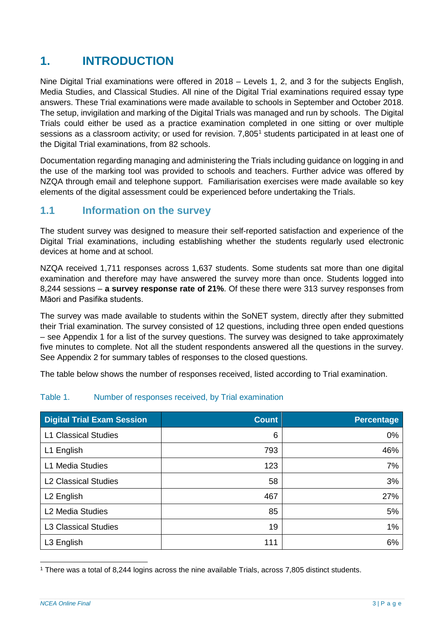# <span id="page-2-0"></span>**1. INTRODUCTION**

Nine Digital Trial examinations were offered in 2018 – Levels 1, 2, and 3 for the subjects English, Media Studies, and Classical Studies. All nine of the Digital Trial examinations required essay type answers. These Trial examinations were made available to schools in September and October 2018. The setup, invigilation and marking of the Digital Trials was managed and run by schools. The Digital Trials could either be used as a practice examination completed in one sitting or over multiple sessions as a classroom activity; or used for revision. 7,805<sup>[1](#page-2-2)</sup> students participated in at least one of the Digital Trial examinations, from 82 schools.

Documentation regarding managing and administering the Trials including guidance on logging in and the use of the marking tool was provided to schools and teachers. Further advice was offered by NZQA through email and telephone support. Familiarisation exercises were made available so key elements of the digital assessment could be experienced before undertaking the Trials.

#### <span id="page-2-1"></span>**1.1 Information on the survey**

The student survey was designed to measure their self-reported satisfaction and experience of the Digital Trial examinations, including establishing whether the students regularly used electronic devices at home and at school.

NZQA received 1,711 responses across 1,637 students. Some students sat more than one digital examination and therefore may have answered the survey more than once. Students logged into 8,244 sessions ‒ **a survey response rate of 21%**. Of these there were 313 survey responses from Māori and Pasifika students.

The survey was made available to students within the SoNET system, directly after they submitted their Trial examination. The survey consisted of 12 questions, including three open ended questions – see Appendix 1 for a list of the survey questions. The survey was designed to take approximately five minutes to complete. Not all the student respondents answered all the questions in the survey. See Appendix 2 for summary tables of responses to the closed questions.

The table below shows the number of responses received, listed according to Trial examination.

#### Table 1. Number of responses received, by Trial examination

| <b>Digital Trial Exam Session</b> | <b>Count</b> | Percentage |
|-----------------------------------|--------------|------------|
| <b>L1 Classical Studies</b>       | 6            | 0%         |
| L1 English                        | 793          | 46%        |
| L1 Media Studies                  | 123          | 7%         |
| <b>L2 Classical Studies</b>       | 58           | 3%         |
| L <sub>2</sub> English            | 467          | 27%        |
| L <sub>2</sub> Media Studies      | 85           | 5%         |
| <b>L3 Classical Studies</b>       | 19           | 1%         |
| L3 English                        | 111          | 6%         |

<span id="page-2-2"></span> <sup>1</sup> There was a total of 8,244 logins across the nine available Trials, across 7,805 distinct students.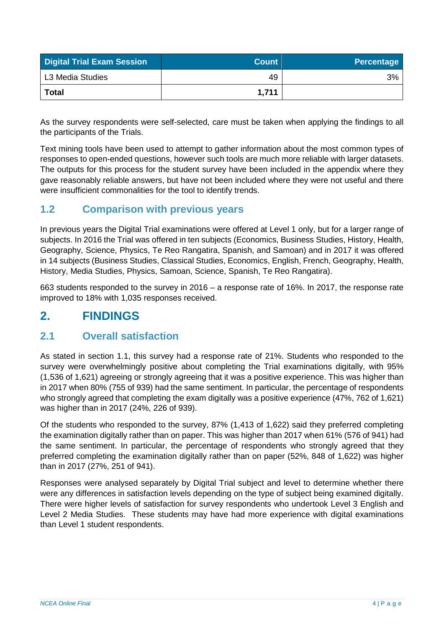| <b>Digital Trial Exam Session</b> | <b>Count</b> | <b>Percentage</b> |
|-----------------------------------|--------------|-------------------|
| L3 Media Studies                  | 49           | 3%                |
| <b>Total</b>                      | 1,711        |                   |

As the survey respondents were self-selected, care must be taken when applying the findings to all the participants of the Trials.

Text mining tools have been used to attempt to gather information about the most common types of responses to open-ended questions, however such tools are much more reliable with larger datasets. The outputs for this process for the student survey have been included in the appendix where they gave reasonably reliable answers, but have not been included where they were not useful and there were insufficient commonalities for the tool to identify trends.

## <span id="page-3-0"></span>**1.2 Comparison with previous years**

In previous years the Digital Trial examinations were offered at Level 1 only, but for a larger range of subjects. In 2016 the Trial was offered in ten subjects (Economics, Business Studies, History, Health, Geography, Science, Physics, Te Reo Rangatira, Spanish, and Samoan) and in 2017 it was offered in 14 subjects (Business Studies, Classical Studies, Economics, English, French, Geography, Health, History, Media Studies, Physics, Samoan, Science, Spanish, Te Reo Rangatira).

663 students responded to the survey in 2016 – a response rate of 16%. In 2017, the response rate improved to 18% with 1,035 responses received.

# <span id="page-3-1"></span>**2. FINDINGS**

#### <span id="page-3-2"></span>**2.1 Overall satisfaction**

As stated in section 1.1, this survey had a response rate of 21%. Students who responded to the survey were overwhelmingly positive about completing the Trial examinations digitally, with 95% (1,536 of 1,621) agreeing or strongly agreeing that it was a positive experience. This was higher than in 2017 when 80% (755 of 939) had the same sentiment. In particular, the percentage of respondents who strongly agreed that completing the exam digitally was a positive experience (47%, 762 of 1,621) was higher than in 2017 (24%, 226 of 939).

Of the students who responded to the survey, 87% (1,413 of 1,622) said they preferred completing the examination digitally rather than on paper. This was higher than 2017 when 61% (576 of 941) had the same sentiment. In particular, the percentage of respondents who strongly agreed that they preferred completing the examination digitally rather than on paper (52%, 848 of 1,622) was higher than in 2017 (27%, 251 of 941).

Responses were analysed separately by Digital Trial subject and level to determine whether there were any differences in satisfaction levels depending on the type of subject being examined digitally. There were higher levels of satisfaction for survey respondents who undertook Level 3 English and Level 2 Media Studies. These students may have had more experience with digital examinations than Level 1 student respondents.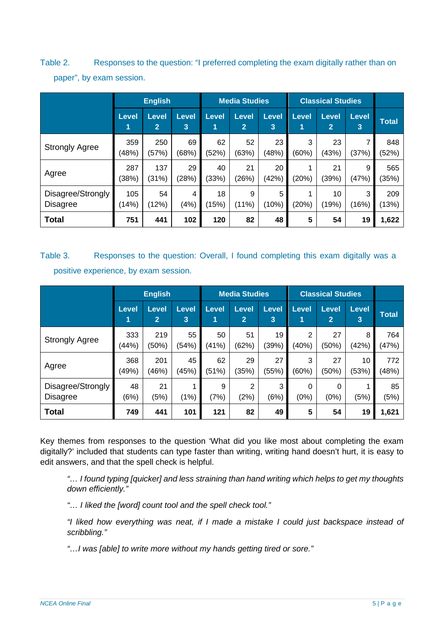Table 2. Responses to the question: "I preferred completing the exam digitally rather than on paper", by exam session.

|                                      | <b>English</b>    |                                |                   | <b>Media Studies</b> |                                | <b>Classical Studies</b> |                   |                                |            |              |
|--------------------------------------|-------------------|--------------------------------|-------------------|----------------------|--------------------------------|--------------------------|-------------------|--------------------------------|------------|--------------|
|                                      | <b>Level</b><br>1 | <b>Level</b><br>$\overline{2}$ | <b>Level</b><br>3 | Level<br>1           | <b>Level</b><br>$\overline{2}$ | <b>Level</b><br>3        | <b>Level</b><br>1 | <b>Level</b><br>$\overline{2}$ | Level<br>3 | <b>Total</b> |
| <b>Strongly Agree</b>                | 359<br>(48%)      | 250<br>(57%)                   | 69<br>(68%)       | 62<br>(52%)          | 52<br>(63%)                    | 23<br>(48%)              | 3<br>(60%)        | 23<br>(43%)                    | (37%)      | 848<br>(52%) |
| Agree                                | 287<br>(38%)      | 137<br>(31%)                   | 29<br>(28%)       | 40<br>(33%)          | 21<br>(26%)                    | 20<br>(42%)              | (20%)             | 21<br>(39%)                    | 9<br>(47%) | 565<br>(35%) |
| Disagree/Strongly<br><b>Disagree</b> | 105<br>(14%)      | 54<br>(12%)                    | 4<br>(4%)         | 18<br>(15%)          | 9<br>(11%)                     | 5<br>(10%)               | (20%)             | 10<br>(19%)                    | 3<br>(16%) | 209<br>(13%) |
| <b>Total</b>                         | 751               | 441                            | 102               | 120                  | 82                             | 48                       | 5                 | 54                             | 19         | 1,622        |

Table 3. Responses to the question: Overall, I found completing this exam digitally was a positive experience, by exam session.

|                                      | <b>English</b>    |                                |                   | <b>Media Studies</b> |                                | <b>Classical Studies</b> |            |                         |                   |              |
|--------------------------------------|-------------------|--------------------------------|-------------------|----------------------|--------------------------------|--------------------------|------------|-------------------------|-------------------|--------------|
|                                      | <b>Level</b><br>1 | <b>Level</b><br>$\overline{2}$ | <b>Level</b><br>3 | <b>Level</b>         | <b>Level</b><br>$\overline{2}$ | Level<br>3               | Level      | Level<br>$\overline{2}$ | <b>Level</b><br>3 | <b>Total</b> |
| <b>Strongly Agree</b>                | 333<br>(44%)      | 219<br>(50%)                   | 55<br>(54%)       | 50<br>(41%)          | 51<br>(62%)                    | 19<br>(39%)              | 2<br>(40%) | 27<br>(50%)             | 8<br>(42%)        | 764<br>(47%) |
| Agree                                | 368<br>(49%)      | 201<br>(46%)                   | 45<br>(45%)       | 62<br>(51%)          | 29<br>(35%)                    | 27<br>(55%)              | 3<br>(60%) | 27<br>(50%)             | 10<br>(53%)       | 772<br>(48%) |
| Disagree/Strongly<br><b>Disagree</b> | 48<br>(6%)        | 21<br>(5%)                     | (1%)              | 9<br>(7%)            | 2<br>(2%)                      | 3<br>(6%)                | 0<br>(0%   | $\Omega$<br>(0%)        | (5%)              | 85<br>(5%)   |
| <b>Total</b>                         | 749               | 441                            | 101               | 121                  | 82                             | 49                       | 5          | 54                      | 19                | 1,621        |

Key themes from responses to the question 'What did you like most about completing the exam digitally?' included that students can type faster than writing, writing hand doesn't hurt, it is easy to edit answers, and that the spell check is helpful.

*"… I found typing [quicker] and less straining than hand writing which helps to get my thoughts down efficiently."*

*"… I liked the [word] count tool and the spell check tool."*

*"I liked how everything was neat, if I made a mistake I could just backspace instead of scribbling."*

*"…I was [able] to write more without my hands getting tired or sore."*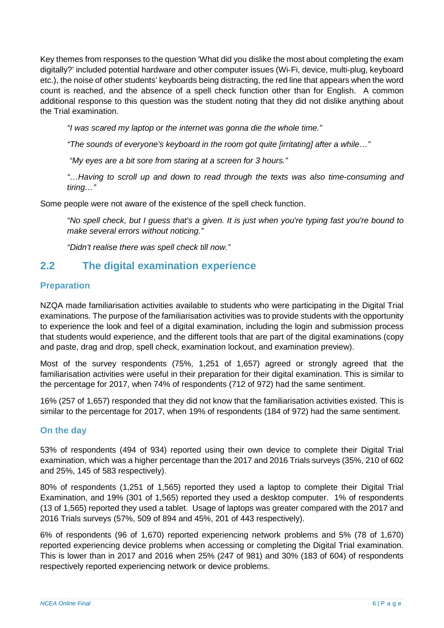Key themes from responses to the question 'What did you dislike the most about completing the exam digitally?' included potential hardware and other computer issues (Wi-Fi, device, multi-plug, keyboard etc.), the noise of other students' keyboards being distracting, the red line that appears when the word count is reached, and the absence of a spell check function other than for English. A common additional response to this question was the student noting that they did not dislike anything about the Trial examination.

*"I was scared my laptop or the internet was gonna die the whole time."*

*"The sounds of everyone's keyboard in the room got quite [irritating] after a while…"*

*"My eyes are a bit sore from staring at a screen for 3 hours."*

*"…Having to scroll up and down to read through the texts was also time-consuming and tiring…"*

Some people were not aware of the existence of the spell check function.

*"No spell check, but I guess that's a given. It is just when you're typing fast you're bound to make several errors without noticing."*

*"Didn't realise there was spell check till now."*

#### <span id="page-5-0"></span>**2.2 The digital examination experience**

#### <span id="page-5-1"></span>**Preparation**

NZQA made familiarisation activities available to students who were participating in the Digital Trial examinations. The purpose of the familiarisation activities was to provide students with the opportunity to experience the look and feel of a digital examination, including the login and submission process that students would experience, and the different tools that are part of the digital examinations (copy and paste, drag and drop, spell check, examination lockout, and examination preview).

Most of the survey respondents (75%, 1,251 of 1,657) agreed or strongly agreed that the familiarisation activities were useful in their preparation for their digital examination. This is similar to the percentage for 2017, when 74% of respondents (712 of 972) had the same sentiment.

16% (257 of 1,657) responded that they did not know that the familiarisation activities existed. This is similar to the percentage for 2017, when 19% of respondents (184 of 972) had the same sentiment.

#### <span id="page-5-2"></span>**On the day**

53% of respondents (494 of 934) reported using their own device to complete their Digital Trial examination, which was a higher percentage than the 2017 and 2016 Trials surveys (35%, 210 of 602 and 25%, 145 of 583 respectively).

80% of respondents (1,251 of 1,565) reported they used a laptop to complete their Digital Trial Examination, and 19% (301 of 1,565) reported they used a desktop computer. 1% of respondents (13 of 1,565) reported they used a tablet. Usage of laptops was greater compared with the 2017 and 2016 Trials surveys (57%, 509 of 894 and 45%, 201 of 443 respectively).

6% of respondents (96 of 1,670) reported experiencing network problems and 5% (78 of 1,670) reported experiencing device problems when accessing or completing the Digital Trial examination. This is lower than in 2017 and 2016 when 25% (247 of 981) and 30% (183 of 604) of respondents respectively reported experiencing network or device problems.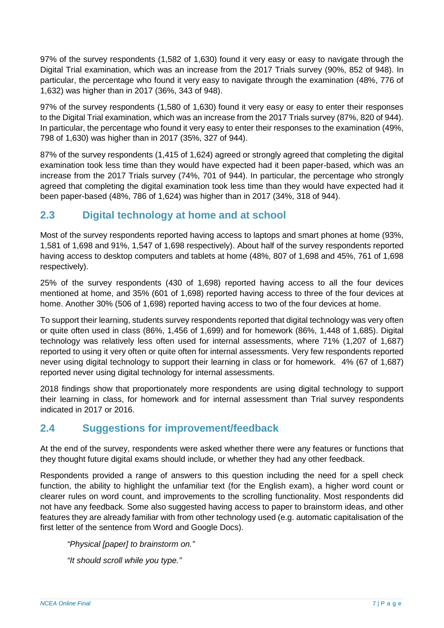97% of the survey respondents (1,582 of 1,630) found it very easy or easy to navigate through the Digital Trial examination, which was an increase from the 2017 Trials survey (90%, 852 of 948). In particular, the percentage who found it very easy to navigate through the examination (48%, 776 of 1,632) was higher than in 2017 (36%, 343 of 948).

97% of the survey respondents (1,580 of 1,630) found it very easy or easy to enter their responses to the Digital Trial examination, which was an increase from the 2017 Trials survey (87%, 820 of 944). In particular, the percentage who found it very easy to enter their responses to the examination (49%, 798 of 1,630) was higher than in 2017 (35%, 327 of 944).

87% of the survey respondents (1,415 of 1,624) agreed or strongly agreed that completing the digital examination took less time than they would have expected had it been paper-based, which was an increase from the 2017 Trials survey (74%, 701 of 944). In particular, the percentage who strongly agreed that completing the digital examination took less time than they would have expected had it been paper-based (48%, 786 of 1,624) was higher than in 2017 (34%, 318 of 944).

## <span id="page-6-0"></span>**2.3 Digital technology at home and at school**

Most of the survey respondents reported having access to laptops and smart phones at home (93%, 1,581 of 1,698 and 91%, 1,547 of 1,698 respectively). About half of the survey respondents reported having access to desktop computers and tablets at home (48%, 807 of 1,698 and 45%, 761 of 1,698 respectively).

25% of the survey respondents (430 of 1,698) reported having access to all the four devices mentioned at home, and 35% (601 of 1,698) reported having access to three of the four devices at home. Another 30% (506 of 1,698) reported having access to two of the four devices at home.

To support their learning, students survey respondents reported that digital technology was very often or quite often used in class (86%, 1,456 of 1,699) and for homework (86%, 1,448 of 1,685). Digital technology was relatively less often used for internal assessments, where 71% (1,207 of 1,687) reported to using it very often or quite often for internal assessments. Very few respondents reported never using digital technology to support their learning in class or for homework. 4% (67 of 1,687) reported never using digital technology for internal assessments.

2018 findings show that proportionately more respondents are using digital technology to support their learning in class, for homework and for internal assessment than Trial survey respondents indicated in 2017 or 2016.

## <span id="page-6-1"></span>**2.4 Suggestions for improvement/feedback**

At the end of the survey, respondents were asked whether there were any features or functions that they thought future digital exams should include, or whether they had any other feedback.

Respondents provided a range of answers to this question including the need for a spell check function, the ability to highlight the unfamiliar text (for the English exam), a higher word count or clearer rules on word count, and improvements to the scrolling functionality. Most respondents did not have any feedback. Some also suggested having access to paper to brainstorm ideas, and other features they are already familiar with from other technology used (e.g. automatic capitalisation of the first letter of the sentence from Word and Google Docs).

*"Physical [paper] to brainstorm on."*

*"It should scroll while you type."*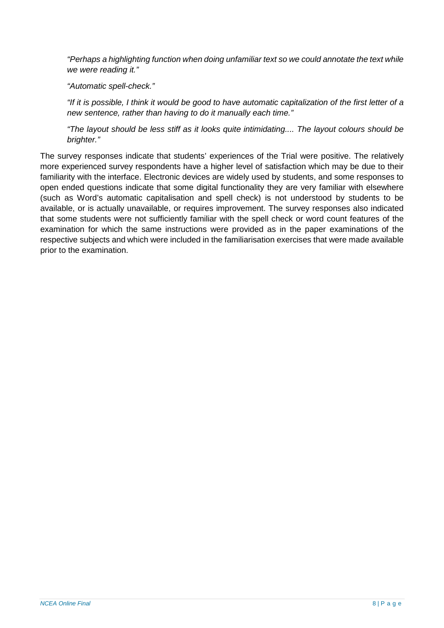*"Perhaps a highlighting function when doing unfamiliar text so we could annotate the text while we were reading it."*

*"Automatic spell-check."*

*"If it is possible, I think it would be good to have automatic capitalization of the first letter of a new sentence, rather than having to do it manually each time."*

*"The layout should be less stiff as it looks quite intimidating.... The layout colours should be brighter."*

The survey responses indicate that students' experiences of the Trial were positive. The relatively more experienced survey respondents have a higher level of satisfaction which may be due to their familiarity with the interface. Electronic devices are widely used by students, and some responses to open ended questions indicate that some digital functionality they are very familiar with elsewhere (such as Word's automatic capitalisation and spell check) is not understood by students to be available, or is actually unavailable, or requires improvement. The survey responses also indicated that some students were not sufficiently familiar with the spell check or word count features of the examination for which the same instructions were provided as in the paper examinations of the respective subjects and which were included in the familiarisation exercises that were made available prior to the examination.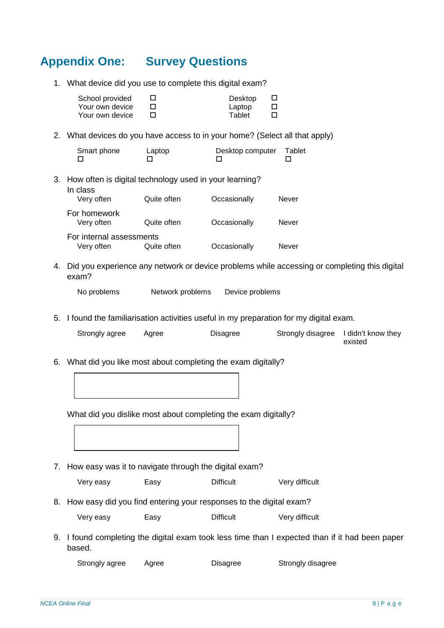# <span id="page-8-0"></span>**Appendix One: Survey Questions**

1. What device did you use to complete this digital exam?

| School provided | Desktop |  |
|-----------------|---------|--|
| Your own device | Laptop  |  |
| Your own device | Tablet  |  |

2. What devices do you have access to in your home? (Select all that apply)

| Smart phone | Laptop | Desktop computer Tablet |  |
|-------------|--------|-------------------------|--|
|             |        |                         |  |

3. How often is digital technology used in your learning?

| In class<br>Very often     | Quite often | Occasionally | Never |
|----------------------------|-------------|--------------|-------|
| For homework<br>Very often | Quite often | Occasionally | Never |
| For internal assessments   |             |              |       |
| Very often                 | Quite often | Occasionally | Never |

4. Did you experience any network or device problems while accessing or completing this digital exam?

No problems Network problems Device problems

5. I found the familiarisation activities useful in my preparation for my digital exam.

| Strongly agree | Aaree | Disagree | Strongly disagree I didn't know they |
|----------------|-------|----------|--------------------------------------|
|                |       |          | existed                              |

6. What did you like most about completing the exam digitally?

What did you dislike most about completing the exam digitally?

7. How easy was it to navigate through the digital exam?

Very easy Easy Difficult Very difficult

8. How easy did you find entering your responses to the digital exam?

| Very easy | Easy | <b>Difficult</b> | Very difficult |
|-----------|------|------------------|----------------|
|-----------|------|------------------|----------------|

9. I found completing the digital exam took less time than I expected than if it had been paper based.

Strongly agree Agree Disagree Strongly disagree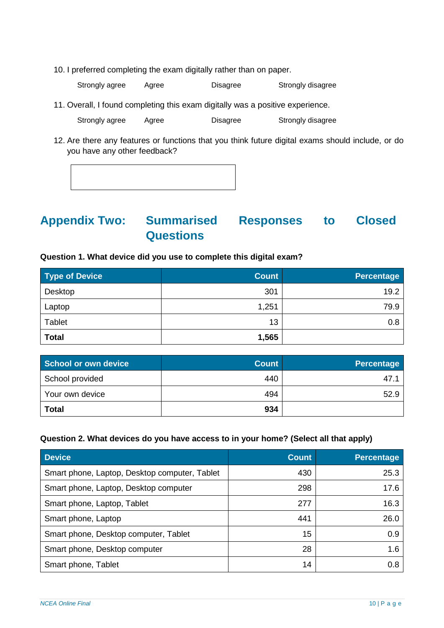10. I preferred completing the exam digitally rather than on paper.

Strongly agree Agree Disagree Strongly disagree

11. Overall, I found completing this exam digitally was a positive experience.

Strongly agree Agree Disagree Strongly disagree

12. Are there any features or functions that you think future digital exams should include, or do you have any other feedback?

# <span id="page-9-0"></span>**Appendix Two: Summarised Responses to Closed Questions**

#### **Question 1. What device did you use to complete this digital exam?**

| <b>Type of Device</b> | <b>Count</b> | Percentage |
|-----------------------|--------------|------------|
| Desktop               | 301          | 19.2       |
| Laptop                | 1,251        | 79.9       |
| Tablet                | 13           | 0.8        |
| <b>Total</b>          | 1,565        |            |

| School or own device | <b>Count</b> | <b>Percentage</b> |
|----------------------|--------------|-------------------|
| School provided      | 440          | 47.1              |
| Your own device      | 494          | 52.9              |
| <b>Total</b>         | 934          |                   |

#### **Question 2. What devices do you have access to in your home? (Select all that apply)**

| <b>Device</b>                                 | <b>Count</b> | <b>Percentage</b> |
|-----------------------------------------------|--------------|-------------------|
| Smart phone, Laptop, Desktop computer, Tablet | 430          | 25.3              |
| Smart phone, Laptop, Desktop computer         | 298          | 17.6              |
| Smart phone, Laptop, Tablet                   | 277          | 16.3              |
| Smart phone, Laptop                           | 441          | 26.0              |
| Smart phone, Desktop computer, Tablet         | 15           | 0.9               |
| Smart phone, Desktop computer                 | 28           | 1.6               |
| Smart phone, Tablet                           | 14           | 0.8               |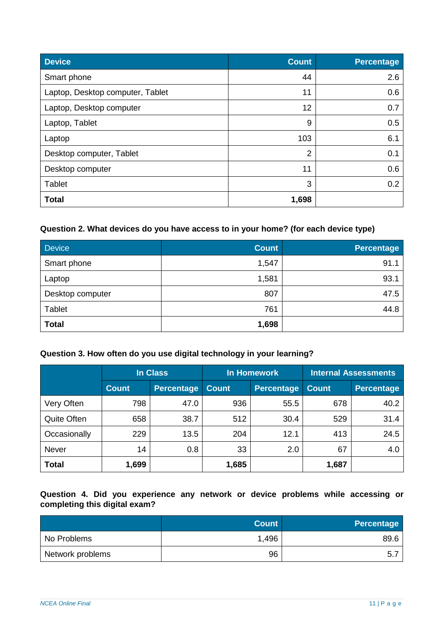| <b>Device</b>                    | <b>Count</b>   | <b>Percentage</b> |
|----------------------------------|----------------|-------------------|
| Smart phone                      | 44             | 2.6               |
| Laptop, Desktop computer, Tablet | 11             | 0.6               |
| Laptop, Desktop computer         | 12             | 0.7               |
| Laptop, Tablet                   | 9              | 0.5               |
| Laptop                           | 103            | 6.1               |
| Desktop computer, Tablet         | $\overline{2}$ | 0.1               |
| Desktop computer                 | 11             | 0.6               |
| Tablet                           | 3              | 0.2               |
| <b>Total</b>                     | 1,698          |                   |

#### **Question 2. What devices do you have access to in your home? (for each device type)**

| <b>Device</b>    | <b>Count</b> | <b>Percentage</b> |
|------------------|--------------|-------------------|
| Smart phone      | 1,547        | 91.1              |
| Laptop           | 1,581        | 93.1              |
| Desktop computer | 807          | 47.5              |
| <b>Tablet</b>    | 761          | 44.8              |
| <b>Total</b>     | 1,698        |                   |

#### **Question 3. How often do you use digital technology in your learning?**

|                    |              | In Class          |              | <b>In Homework</b> |              | <b>Internal Assessments</b> |
|--------------------|--------------|-------------------|--------------|--------------------|--------------|-----------------------------|
|                    | <b>Count</b> | <b>Percentage</b> | <b>Count</b> | Percentage         | <b>Count</b> | <b>Percentage</b>           |
| Very Often         | 798          | 47.0              | 936          | 55.5               | 678          | 40.2                        |
| <b>Quite Often</b> | 658          | 38.7              | 512          | 30.4               | 529          | 31.4                        |
| Occasionally       | 229          | 13.5              | 204          | 12.1               | 413          | 24.5                        |
| <b>Never</b>       | 14           | 0.8               | 33           | 2.0                | 67           | 4.0                         |
| <b>Total</b>       | 1,699        |                   | 1,685        |                    | 1,687        |                             |

#### **Question 4. Did you experience any network or device problems while accessing or completing this digital exam?**

|                  | <b>Count</b> | <b>Percentage</b> |
|------------------|--------------|-------------------|
| No Problems      | 1,496        | 89.6              |
| Network problems | 96           | 5.                |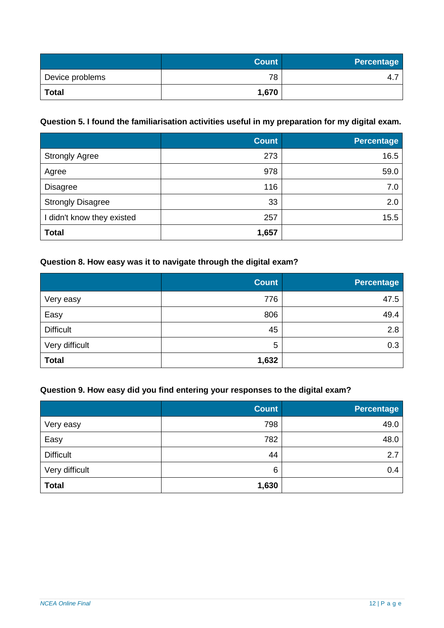|                 | <b>Count</b> | <b>Percentage</b> |
|-----------------|--------------|-------------------|
| Device problems | 78           | 4                 |
| <b>Total</b>    | 1,670        |                   |

#### **Question 5. I found the familiarisation activities useful in my preparation for my digital exam.**

|                            | <b>Count</b> | <b>Percentage</b> |
|----------------------------|--------------|-------------------|
| <b>Strongly Agree</b>      | 273          | 16.5              |
| Agree                      | 978          | 59.0              |
| <b>Disagree</b>            | 116          | 7.0               |
| <b>Strongly Disagree</b>   | 33           | 2.0               |
| I didn't know they existed | 257          | 15.5              |
| <b>Total</b>               | 1,657        |                   |

#### **Question 8. How easy was it to navigate through the digital exam?**

|                  | <b>Count</b> | <b>Percentage</b> |
|------------------|--------------|-------------------|
| Very easy        | 776          | 47.5              |
| Easy             | 806          | 49.4              |
| <b>Difficult</b> | 45           | 2.8               |
| Very difficult   | 5            | 0.3               |
| <b>Total</b>     | 1,632        |                   |

#### **Question 9. How easy did you find entering your responses to the digital exam?**

|                  | <b>Count</b> | <b>Percentage</b> |
|------------------|--------------|-------------------|
| Very easy        | 798          | 49.0              |
| Easy             | 782          | 48.0              |
| <b>Difficult</b> | 44           | 2.7               |
| Very difficult   | 6            | 0.4               |
| <b>Total</b>     | 1,630        |                   |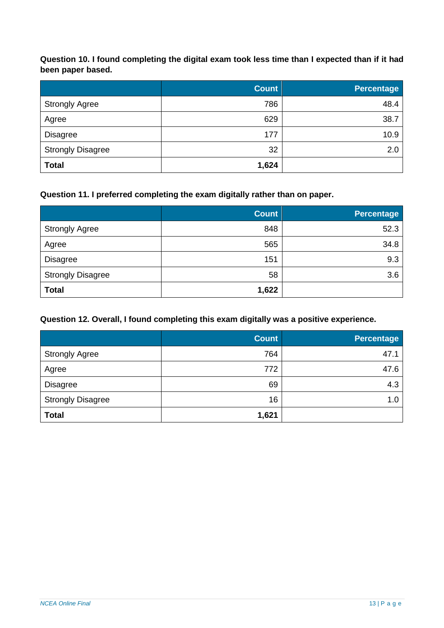**Question 10. I found completing the digital exam took less time than I expected than if it had been paper based.**

|                          | <b>Count</b> | <b>Percentage</b> |
|--------------------------|--------------|-------------------|
| <b>Strongly Agree</b>    | 786          | 48.4              |
| Agree                    | 629          | 38.7              |
| <b>Disagree</b>          | 177          | 10.9              |
| <b>Strongly Disagree</b> | 32           | 2.0               |
| <b>Total</b>             | 1,624        |                   |

#### **Question 11. I preferred completing the exam digitally rather than on paper.**

|                          | <b>Count</b> | <b>Percentage</b> |
|--------------------------|--------------|-------------------|
| <b>Strongly Agree</b>    | 848          | 52.3              |
| Agree                    | 565          | 34.8              |
| <b>Disagree</b>          | 151          | 9.3               |
| <b>Strongly Disagree</b> | 58           | 3.6               |
| <b>Total</b>             | 1,622        |                   |

#### **Question 12. Overall, I found completing this exam digitally was a positive experience.**

|                          | <b>Count</b> | <b>Percentage</b> |
|--------------------------|--------------|-------------------|
| <b>Strongly Agree</b>    | 764          | 47.1              |
| Agree                    | 772          | 47.6              |
| <b>Disagree</b>          | 69           | 4.3               |
| <b>Strongly Disagree</b> | 16           | 1.0               |
| <b>Total</b>             | 1,621        |                   |